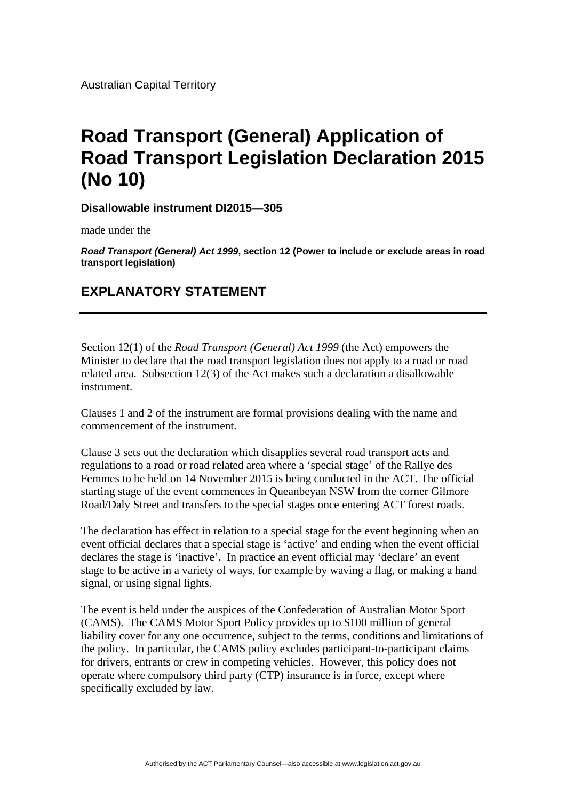Australian Capital Territory

## **Road Transport (General) Application of Road Transport Legislation Declaration 2015 (No 10)**

**Disallowable instrument DI2015—305**

made under the

*Road Transport (General) Act 1999***, section 12 (Power to include or exclude areas in road transport legislation)**

## **EXPLANATORY STATEMENT**

Section 12(1) of the *Road Transport (General) Act 1999* (the Act) empowers the Minister to declare that the road transport legislation does not apply to a road or road related area. Subsection 12(3) of the Act makes such a declaration a disallowable instrument.

Clauses 1 and 2 of the instrument are formal provisions dealing with the name and commencement of the instrument.

Clause 3 sets out the declaration which disapplies several road transport acts and regulations to a road or road related area where a 'special stage' of the Rallye des Femmes to be held on 14 November 2015 is being conducted in the ACT. The official starting stage of the event commences in Queanbeyan NSW from the corner Gilmore Road/Daly Street and transfers to the special stages once entering ACT forest roads.

The declaration has effect in relation to a special stage for the event beginning when an event official declares that a special stage is 'active' and ending when the event official declares the stage is 'inactive'. In practice an event official may 'declare' an event stage to be active in a variety of ways, for example by waving a flag, or making a hand signal, or using signal lights.

The event is held under the auspices of the Confederation of Australian Motor Sport (CAMS). The CAMS Motor Sport Policy provides up to \$100 million of general liability cover for any one occurrence, subject to the terms, conditions and limitations of the policy. In particular, the CAMS policy excludes participant-to-participant claims for drivers, entrants or crew in competing vehicles. However, this policy does not operate where compulsory third party (CTP) insurance is in force, except where specifically excluded by law.